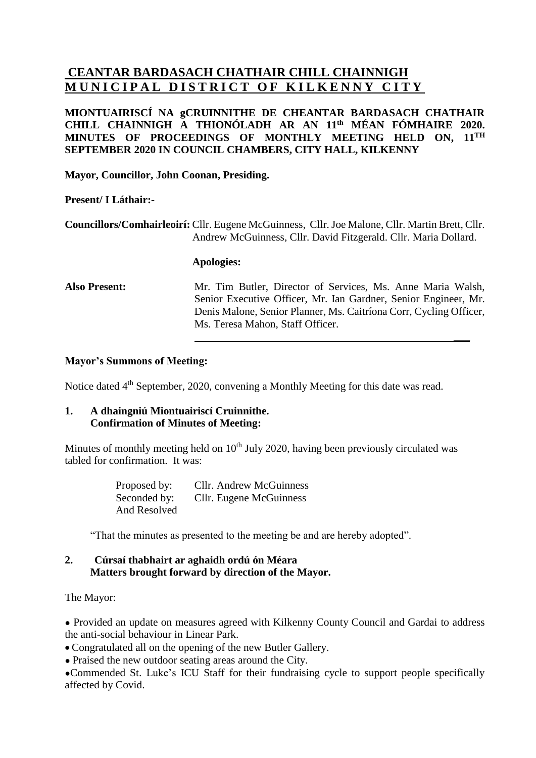# **CEANTAR BARDASACH CHATHAIR CHILL CHAINNIGH MUNICIPAL DISTRICT OF KILKENNY CITY**

# **MIONTUAIRISCÍ NA gCRUINNITHE DE CHEANTAR BARDASACH CHATHAIR CHILL CHAINNIGH A THIONÓLADH AR AN 11 th MÉAN FÓMHAIRE 2020. MINUTES OF PROCEEDINGS OF MONTHLY MEETING HELD ON, 11 TH SEPTEMBER 2020 IN COUNCIL CHAMBERS, CITY HALL, KILKENNY**

**Mayor, Councillor, John Coonan, Presiding.**

# **Present/ I Láthair:-**

**Councillors/Comhairleoirí:** Cllr. Eugene McGuinness, Cllr. Joe Malone, Cllr. Martin Brett, Cllr. Andrew McGuinness, Cllr. David Fitzgerald. Cllr. Maria Dollard.

#### **Apologies:**

**Also Present:** Mr. Tim Butler, Director of Services, Ms. Anne Maria Walsh, Senior Executive Officer, Mr. Ian Gardner, Senior Engineer, Mr. Denis Malone, Senior Planner, Ms. Caitríona Corr, Cycling Officer, Ms. Teresa Mahon, Staff Officer.

**\_\_\_**

### **Mayor's Summons of Meeting:**

Notice dated 4<sup>th</sup> September, 2020, convening a Monthly Meeting for this date was read.

# **1. A dhaingniú Miontuairiscí Cruinnithe. Confirmation of Minutes of Meeting:**

Minutes of monthly meeting held on  $10<sup>th</sup>$  July 2020, having been previously circulated was tabled for confirmation. It was:

> Proposed by: Cllr. Andrew McGuinness Seconded by: Cllr. Eugene McGuinness And Resolved

"That the minutes as presented to the meeting be and are hereby adopted".

### **2. Cúrsaí thabhairt ar aghaidh ordú ón Méara Matters brought forward by direction of the Mayor.**

The Mayor:

• Provided an update on measures agreed with Kilkenny County Council and Gardai to address the anti-social behaviour in Linear Park.

• Congratulated all on the opening of the new Butler Gallery.

• Praised the new outdoor seating areas around the City.

●Commended St. Luke's ICU Staff for their fundraising cycle to support people specifically affected by Covid.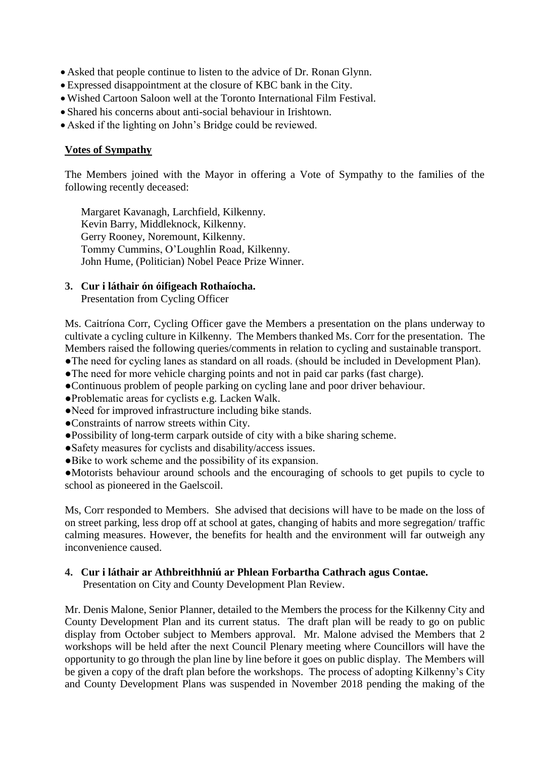- Asked that people continue to listen to the advice of Dr. Ronan Glynn.
- Expressed disappointment at the closure of KBC bank in the City.
- Wished Cartoon Saloon well at the Toronto International Film Festival.
- Shared his concerns about anti-social behaviour in Irishtown.
- Asked if the lighting on John's Bridge could be reviewed.

### **Votes of Sympathy**

The Members joined with the Mayor in offering a Vote of Sympathy to the families of the following recently deceased:

Margaret Kavanagh, Larchfield, Kilkenny. Kevin Barry, Middleknock, Kilkenny. Gerry Rooney, Noremount, Kilkenny. Tommy Cummins, O'Loughlin Road, Kilkenny. John Hume, (Politician) Nobel Peace Prize Winner.

# **3. Cur i láthair ón óifigeach Rothaíocha.**

Presentation from Cycling Officer

Ms. Caitríona Corr, Cycling Officer gave the Members a presentation on the plans underway to cultivate a cycling culture in Kilkenny. The Members thanked Ms. Corr for the presentation. The Members raised the following queries/comments in relation to cycling and sustainable transport.

- ●The need for cycling lanes as standard on all roads. (should be included in Development Plan).
- ●The need for more vehicle charging points and not in paid car parks (fast charge).
- ●Continuous problem of people parking on cycling lane and poor driver behaviour.
- ●Problematic areas for cyclists e.g. Lacken Walk.
- ●Need for improved infrastructure including bike stands.
- ●Constraints of narrow streets within City.
- ●Possibility of long-term carpark outside of city with a bike sharing scheme.
- ●Safety measures for cyclists and disability/access issues.
- ●Bike to work scheme and the possibility of its expansion.

●Motorists behaviour around schools and the encouraging of schools to get pupils to cycle to school as pioneered in the Gaelscoil.

Ms, Corr responded to Members. She advised that decisions will have to be made on the loss of on street parking, less drop off at school at gates, changing of habits and more segregation/ traffic calming measures. However, the benefits for health and the environment will far outweigh any inconvenience caused.

### **4. Cur i láthair ar Athbreithhniú ar Phlean Forbartha Cathrach agus Contae.**

Presentation on City and County Development Plan Review.

Mr. Denis Malone, Senior Planner, detailed to the Members the process for the Kilkenny City and County Development Plan and its current status. The draft plan will be ready to go on public display from October subject to Members approval. Mr. Malone advised the Members that 2 workshops will be held after the next Council Plenary meeting where Councillors will have the opportunity to go through the plan line by line before it goes on public display. The Members will be given a copy of the draft plan before the workshops. The process of adopting Kilkenny's City and County Development Plans was suspended in November 2018 pending the making of the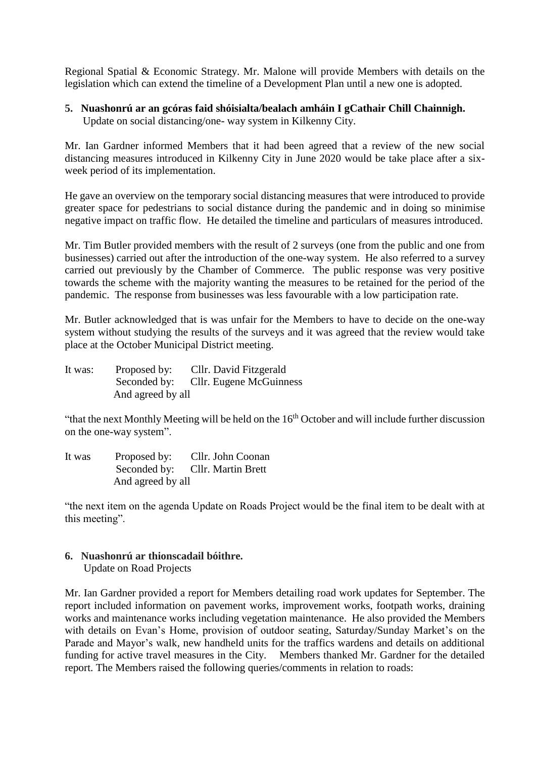Regional Spatial & Economic Strategy. Mr. Malone will provide Members with details on the legislation which can extend the timeline of a Development Plan until a new one is adopted.

#### **5. Nuashonrú ar an gcóras faid shóisialta/bealach amháin I gCathair Chill Chainnigh.** Update on social distancing/one- way system in Kilkenny City.

Mr. Ian Gardner informed Members that it had been agreed that a review of the new social distancing measures introduced in Kilkenny City in June 2020 would be take place after a sixweek period of its implementation.

He gave an overview on the temporary social distancing measures that were introduced to provide greater space for pedestrians to social distance during the pandemic and in doing so minimise negative impact on traffic flow. He detailed the timeline and particulars of measures introduced.

Mr. Tim Butler provided members with the result of 2 surveys (one from the public and one from businesses) carried out after the introduction of the one-way system. He also referred to a survey carried out previously by the Chamber of Commerce. The public response was very positive towards the scheme with the majority wanting the measures to be retained for the period of the pandemic. The response from businesses was less favourable with a low participation rate.

Mr. Butler acknowledged that is was unfair for the Members to have to decide on the one-way system without studying the results of the surveys and it was agreed that the review would take place at the October Municipal District meeting.

It was: Proposed by: Cllr. David Fitzgerald Seconded by: Cllr. Eugene McGuinness And agreed by all

"that the next Monthly Meeting will be held on the 16th October and will include further discussion on the one-way system".

It was Proposed by: Cllr. John Coonan Seconded by: Cllr. Martin Brett And agreed by all

"the next item on the agenda Update on Roads Project would be the final item to be dealt with at this meeting".

# **6. Nuashonrú ar thionscadail bóithre.**

Update on Road Projects

Mr. Ian Gardner provided a report for Members detailing road work updates for September. The report included information on pavement works, improvement works, footpath works, draining works and maintenance works including vegetation maintenance. He also provided the Members with details on Evan's Home, provision of outdoor seating, Saturday/Sunday Market's on the Parade and Mayor's walk, new handheld units for the traffics wardens and details on additional funding for active travel measures in the City. Members thanked Mr. Gardner for the detailed report. The Members raised the following queries/comments in relation to roads: